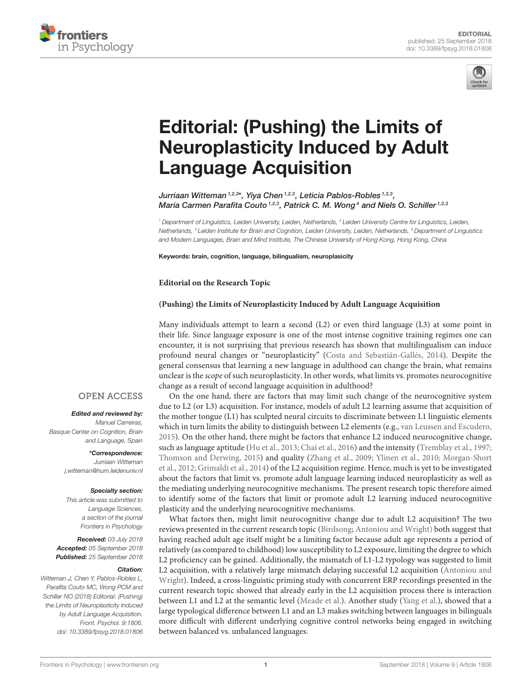



# Editorial: (Pushing) the Limits of [Neuroplasticity Induced by Adult](https://www.frontiersin.org/articles/10.3389/fpsyg.2018.01806/full) Language Acquisition

[Jurriaan Witteman](http://loop.frontiersin.org/people/348729/overview) 1,2,3\*, [Yiya Chen](http://loop.frontiersin.org/people/176070/overview) <sup>1,2,3</sup>, [Leticia Pablos-Robles](http://loop.frontiersin.org/people/96133/overview) <sup>1,2,3</sup>, [Maria Carmen Parafita Couto](http://loop.frontiersin.org/people/187470/overview)<sup>1,2,3</sup>, [Patrick C. M. Wong](http://loop.frontiersin.org/people/82565/overview)<sup>4</sup> and [Niels O. Schiller](http://loop.frontiersin.org/people/12045/overview)<sup>1,2,3</sup>

*<sup>1</sup> Department of Linguistics, Leiden University, Leiden, Netherlands, <sup>2</sup> Leiden University Centre for Linguistics, Leiden, Netherlands, <sup>3</sup> Leiden Institute for Brain and Cognition, Leiden University, Leiden, Netherlands, <sup>4</sup> Department of Linguistics and Modern Languages, Brain and Mind Institute, The Chinese University of Hong Kong, Hong Kong, China*

Keywords: brain, cognition, language, bilingualism, neuroplasicity

**Editorial on the Research Topic**

### **[\(Pushing\) the Limits of Neuroplasticity Induced by Adult Language Acquisition](https://www.frontiersin.org/research-topics/5285/pushing-the-limits-of-neuroplasticity-induced-by-adult-language-acquisition)**

Many individuals attempt to learn a second (L2) or even third language (L3) at some point in their life. Since language exposure is one of the most intense cognitive training regimes one can encounter, it is not surprising that previous research has shown that multilingualism can induce profound neural changes or "neuroplasticity" [\(Costa and Sebastián-Gallés, 2014\)](#page-1-0). Despite the general consensus that learning a new language in adulthood can change the brain, what remains unclear is the scope of such neuroplasticity. In other words, what limits vs. promotes neurocognitive change as a result of second language acquisition in adulthood?

On the one hand, there are factors that may limit such change of the neurocognitive system due to L2 (or L3) acquisition. For instance, models of adult L2 learning assume that acquisition of the mother tongue (L1) has sculpted neural circuits to discriminate between L1 linguistic elements which in turn limits the ability to distinguish between L2 elements (e.g., [van Leussen and Escudero,](#page-1-1) [2015\)](#page-1-1). On the other hand, there might be factors that enhance L2 induced neurocognitive change, such as language aptitude [\(Hu et al., 2013;](#page-1-2) [Chai et al., 2016\)](#page-1-3) and the intensity [\(Tremblay et al., 1997;](#page-1-4) [Thomson and Derwing, 2015\)](#page-1-5) and quality [\(Zhang et al., 2009;](#page-1-6) [Ylinen et al., 2010;](#page-1-7) Morgan-Short et al., [2012;](#page-1-8) [Grimaldi et al., 2014\)](#page-1-9) of the L2 acquisition regime. Hence, much is yet to be investigated about the factors that limit vs. promote adult language learning induced neuroplasticity as well as the mediating underlying neurocognitive mechanisms. The present research topic therefore aimed to identify some of the factors that limit or promote adult L2 learning induced neurocognitive plasticity and the underlying neurocognitive mechanisms.

What factors then, might limit neurocognitive change due to adult L2 acquisition? The two reviews presented in the current research topic [\(Birdsong;](https://doi.org/10.3389/fpsyg.2018.00081) [Antoniou and Wright\)](https://doi.org/10.3389/fpsyg.2017.02217) both suggest that having reached adult age itself might be a limiting factor because adult age represents a period of relatively (as compared to childhood) low susceptibility to L2 exposure, limiting the degree to which L2 proficiency can be gained. Additionally, the mismatch of L1-L2 typology was suggested to limit [L2 acquisition, with a relatively large mismatch delaying successful L2 acquisition \(Antoniou and](https://doi.org/10.3389/fpsyg.2017.02217) Wright). Indeed, a cross-linguistic priming study with concurrent ERP recordings presented in the current research topic showed that already early in the L2 acquisition process there is interaction between L1 and L2 at the semantic level [\(Meade et al.\)](https://doi.org/10.3389/fpsyg.2018.00986). Another study [\(Yang et al.\)](https://doi.org/10.3389/fpsyg.2018.00395), showed that a large typological difference between L1 and an L3 makes switching between languages in bilinguals more difficult with different underlying cognitive control networks being engaged in switching between balanced vs. unbalanced languages.

## **OPEN ACCESS**

#### Edited and reviewed by:

*Manuel Carreiras, Basque Center on Cognition, Brain and Language, Spain*

> \*Correspondence: *Jurriaan Witteman [j.witteman@hum.leidenuniv.nl](mailto:j.witteman@hum.leidenuniv.nl)*

#### Specialty section:

*This article was submitted to Language Sciences, a section of the journal Frontiers in Psychology*

Received: *03 July 2018* Accepted: *05 September 2018* Published: *25 September 2018*

#### Citation:

*Witteman J, Chen Y, Pablos-Robles L, Parafita Couto MC, Wong PCM and Schiller NO (2018) Editorial: (Pushing) the Limits of Neuroplasticity Induced by Adult Language Acquisition. Front. Psychol. 9:1806. doi: [10.3389/fpsyg.2018.01806](https://doi.org/10.3389/fpsyg.2018.01806)*